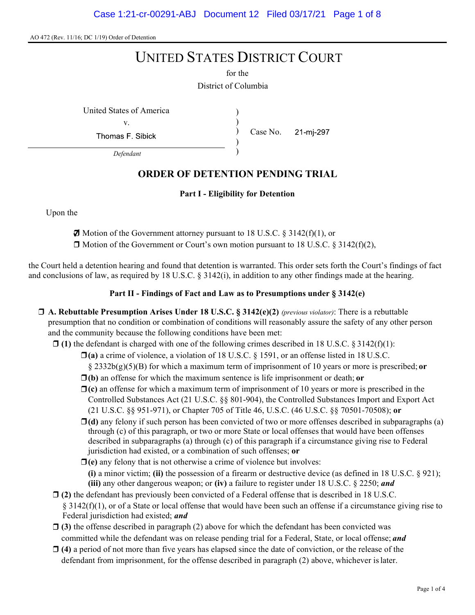# UNITED STATES DISTRICT COURT

District of Columbia for the

United States of America )

v.

Thomas F. Sibick

) Case No. 21-mi-297

Defendant

## ORDER OF DETENTION PENDING TRIAL

)

) )

#### Part I - Eligibility for Detention

Upon the

 $\boldsymbol{\Box}$  Motion of the Government attorney pursuant to 18 U.S.C. § 3142(f)(1), or

 $\Box$  Motion of the Government or Court's own motion pursuant to 18 U.S.C. § 3142(f)(2),

the Court held a detention hearing and found that detention is warranted. This order sets forth the Court's findings of fact and conclusions of law, as required by 18 U.S.C.  $\S$  3142(i), in addition to any other findings made at the hearing.

#### Part II - Findings of Fact and Law as to Presumptions under § 3142(e)

- $\Box$  A. Rebuttable Presumption Arises Under 18 U.S.C. § 3142(e)(2) (previous violator): There is a rebuttable presumption that no condition or combination of conditions will reasonably assure the safety of any other person and the community because the following conditions have been met:
	- $\Box$  (1) the defendant is charged with one of the following crimes described in 18 U.S.C. § 3142(f)(1):
		- $\Box$ (a) a crime of violence, a violation of 18 U.S.C. § 1591, or an offense listed in 18 U.S.C.

§  $2332b(g)(5)(B)$  for which a maximum term of imprisonment of 10 years or more is prescribed; or

- $\Box$ (b) an offense for which the maximum sentence is life imprisonment or death; or
- $\Box$ (c) an offense for which a maximum term of imprisonment of 10 years or more is prescribed in the Controlled Substances Act (21 U.S.C. §§ 801-904), the Controlled Substances Import and Export Act (21 U.S.C. §§ 951-971), or Chapter 705 of Title 46, U.S.C. (46 U.S.C. §§ 70501-70508); or
- $\Box$ (d) any felony if such person has been convicted of two or more offenses described in subparagraphs (a) through (c) of this paragraph, or two or more State or local offenses that would have been offenses described in subparagraphs (a) through (c) of this paragraph if a circumstance giving rise to Federal jurisdiction had existed, or a combination of such offenses; or
- $\Box$ (e) any felony that is not otherwise a crime of violence but involves: (i) a minor victim; (ii) the possession of a firearm or destructive device (as defined in 18 U.S.C.  $\S$  921); (iii) any other dangerous weapon; or (iv) a failure to register under 18 U.S.C.  $\S$  2250; and
- $\Box$  (2) the defendant has previously been convicted of a Federal offense that is described in 18 U.S.C.  $§$  3142(f)(1), or of a State or local offense that would have been such an offense if a circumstance giving rise to Federal jurisdiction had existed; and
- $\Box$  (3) the offense described in paragraph (2) above for which the defendant has been convicted was committed while the defendant was on release pending trial for a Federal, State, or local offense; and
- $\Box$  (4) a period of not more than five years has elapsed since the date of conviction, or the release of the defendant from imprisonment, for the offense described in paragraph (2) above, whichever is later.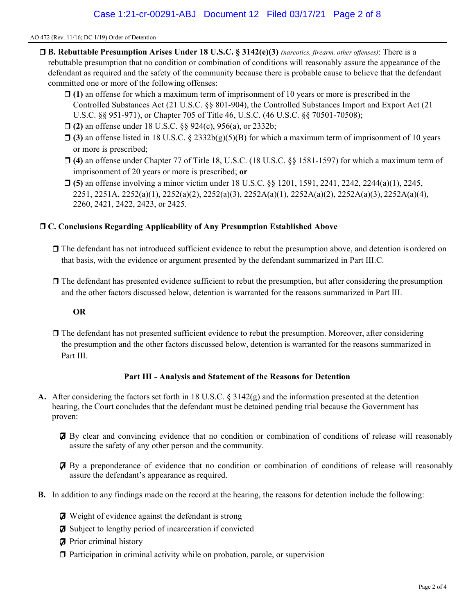- $\Box$  **B. Rebuttable Presumption Arises Under 18 U.S.C. § 3142(e)(3)** (narcotics, firearm, other offenses): There is a rebuttable presumption that no condition or combination of conditions will reasonably assure the appearance of the defendant as required and the safety of the community because there is probable cause to believe that the defendant committed one or more of the following offenses:
	- $\Box$  (1) an offense for which a maximum term of imprisonment of 10 years or more is prescribed in the Controlled Substances Act (21 U.S.C. §§ 801-904), the Controlled Substances Import and Export Act (21 U.S.C. §§ 951-971), or Chapter 705 of Title 46, U.S.C. (46 U.S.C. §§ 70501-70508);
	- □ (2) an offense under 18 U.S.C. §§ 924(c), 956(a), or 2332b;
	- $\Box$  (3) an offense listed in 18 U.S.C. § 2332b(g)(5)(B) for which a maximum term of imprisonment of 10 years or more is prescribed;
	- (4) an offense under Chapter 77 of Title 18, U.S.C. (18 U.S.C. §§ 1581-1597) for which a maximum term of imprisonment of 20 years or more is prescribed; or
	- $\Box$  (5) an offense involving a minor victim under 18 U.S.C. §§ 1201, 1591, 2241, 2242, 2244(a)(1), 2245, 2251, 2251A, 2252(a)(1), 2252(a)(2), 2252(a)(3), 2252A(a)(1), 2252A(a)(2), 2252A(a)(3), 2252A(a)(4), 2260, 2421, 2422, 2423, or 2425.

#### C. Conclusions Regarding Applicability of Any Presumption Established Above

- The defendant has not introduced sufficient evidence to rebut the presumption above, and detention is ordered on that basis, with the evidence or argument presented by the defendant summarized in Part III.C.
- $\Box$  The defendant has presented evidence sufficient to rebut the presumption, but after considering the presumption and the other factors discussed below, detention is warranted for the reasons summarized in Part III.

#### OR

 $\Box$  The defendant has not presented sufficient evidence to rebut the presumption. Moreover, after considering the presumption and the other factors discussed below, detention is warranted for the reasons summarized in Part III.

#### Part III - Analysis and Statement of the Reasons for Detention

- A. After considering the factors set forth in 18 U.S.C. § 3142(g) and the information presented at the detention hearing, the Court concludes that the defendant must be detained pending trial because the Government has proven:
	- By clear and convincing evidence that no condition or combination of conditions of release will reasonably assure the safety of any other person and the community.
	- By a preponderance of evidence that no condition or combination of conditions of release will reasonably assure the defendant's appearance as required.
- B. In addition to any findings made on the record at the hearing, the reasons for detention include the following:
	- $\boldsymbol{\Box}$  Weight of evidence against the defendant is strong
	- $\boldsymbol{\nabla}$  Subject to lengthy period of incarceration if convicted
	- $\boldsymbol{\mathcal{F}}$  Prior criminal history
	- $\Box$  Participation in criminal activity while on probation, parole, or supervision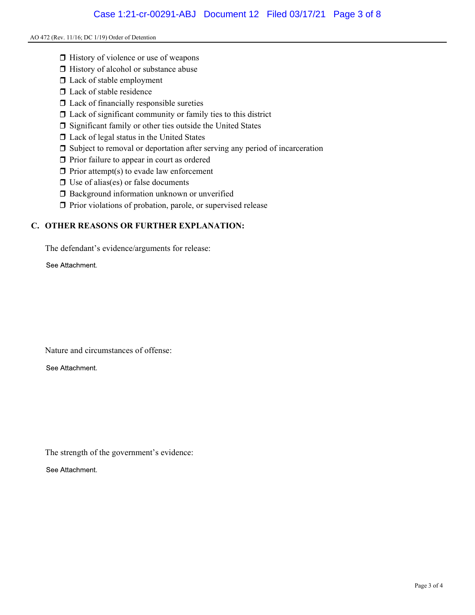- $\Box$  History of violence or use of weapons
- □ History of alcohol or substance abuse
- $\square$  Lack of stable employment
- $\Box$  Lack of stable residence
- $\Box$  Lack of financially responsible sureties
- $\Box$  Lack of significant community or family ties to this district
- $\square$  Significant family or other ties outside the United States
- Lack of legal status in the United States
- Subject to removal or deportation after serving any period of incarceration
- $\Box$  Prior failure to appear in court as ordered
- $\Box$  Prior attempt(s) to evade law enforcement
- $\Box$  Use of alias(es) or false documents
- **Background information unknown or unverified**
- $\Box$  Prior violations of probation, parole, or supervised release

### C. OTHER REASONS OR FURTHER EXPLANATION:

The defendant's evidence/arguments for release:

See Attachment.

Nature and circumstances of offense:

See Attachment.

The strength of the government's evidence:

See Attachment.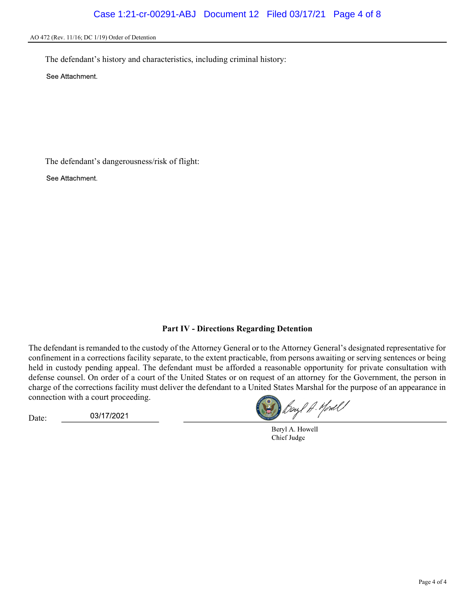The defendant's history and characteristics, including criminal history:

See Attachment.

The defendant's dangerousness/risk of flight:

See Attachment.

#### Part IV - Directions Regarding Detention

The defendant is remanded to the custody of the Attorney General or to the Attorney General's designated representative for confinement in a corrections facility separate, to the extent practicable, from persons awaiting or serving sentences or being held in custody pending appeal. The defendant must be afforded a reasonable opportunity for private consultation with defense counsel. On order of a court of the United States or on request of an attorney for the Government, the person in charge of the corrections facility must deliver the defendant to a United States Marshal for the purpose of an appearance in connection with a court proceeding.

Date:

03/17/2021

Beyl A. Yord !

Beryl A. Howell Chief Judge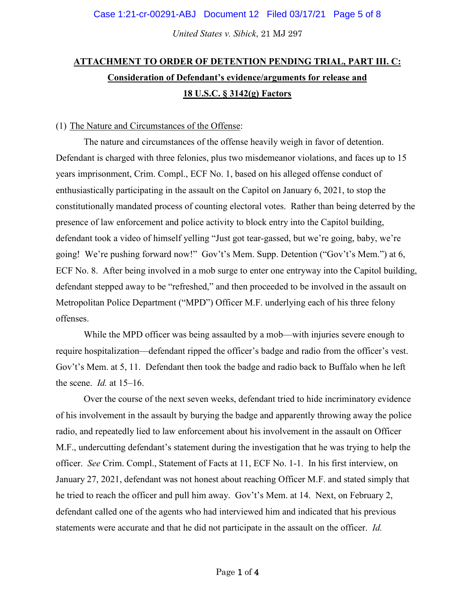*United States v. Sibick*, 21 MJ 297

# **ATTACHMENT TO ORDER OF DETENTION PENDING TRIAL, PART III. C: Consideration of Defendant's evidence/arguments for release and 18 U.S.C. § 3142(g) Factors**

### (1) The Nature and Circumstances of the Offense:

The nature and circumstances of the offense heavily weigh in favor of detention. Defendant is charged with three felonies, plus two misdemeanor violations, and faces up to 15 years imprisonment, Crim. Compl., ECF No. 1, based on his alleged offense conduct of enthusiastically participating in the assault on the Capitol on January 6, 2021, to stop the constitutionally mandated process of counting electoral votes. Rather than being deterred by the presence of law enforcement and police activity to block entry into the Capitol building, defendant took a video of himself yelling "Just got tear-gassed, but we're going, baby, we're going! We're pushing forward now!" Gov't's Mem. Supp. Detention ("Gov't's Mem.") at 6, ECF No. 8. After being involved in a mob surge to enter one entryway into the Capitol building, defendant stepped away to be "refreshed," and then proceeded to be involved in the assault on Metropolitan Police Department ("MPD") Officer M.F. underlying each of his three felony offenses.

While the MPD officer was being assaulted by a mob—with injuries severe enough to require hospitalization—defendant ripped the officer's badge and radio from the officer's vest. Gov't's Mem. at 5, 11. Defendant then took the badge and radio back to Buffalo when he left the scene. *Id.* at 15–16.

Over the course of the next seven weeks, defendant tried to hide incriminatory evidence of his involvement in the assault by burying the badge and apparently throwing away the police radio, and repeatedly lied to law enforcement about his involvement in the assault on Officer M.F., undercutting defendant's statement during the investigation that he was trying to help the officer. *See* Crim. Compl., Statement of Facts at 11, ECF No. 1-1. In his first interview, on January 27, 2021, defendant was not honest about reaching Officer M.F. and stated simply that he tried to reach the officer and pull him away. Gov't's Mem. at 14. Next, on February 2, defendant called one of the agents who had interviewed him and indicated that his previous statements were accurate and that he did not participate in the assault on the officer. *Id.*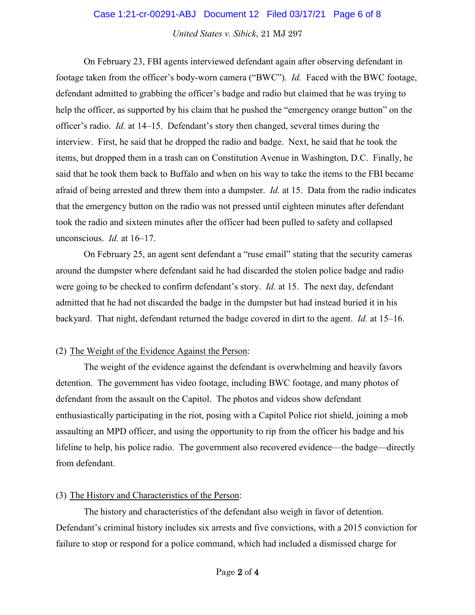#### Case 1:21-cr-00291-ABJ Document 12 Filed 03/17/21 Page 6 of 8

*United States v. Sibick*, 21 MJ 297

On February 23, FBI agents interviewed defendant again after observing defendant in footage taken from the officer's body-worn camera ("BWC"). *Id.* Faced with the BWC footage, defendant admitted to grabbing the officer's badge and radio but claimed that he was trying to help the officer, as supported by his claim that he pushed the "emergency orange button" on the officer's radio. *Id.* at 14–15. Defendant's story then changed, several times during the interview. First, he said that he dropped the radio and badge. Next, he said that he took the items, but dropped them in a trash can on Constitution Avenue in Washington, D.C. Finally, he said that he took them back to Buffalo and when on his way to take the items to the FBI became afraid of being arrested and threw them into a dumpster. *Id.* at 15. Data from the radio indicates that the emergency button on the radio was not pressed until eighteen minutes after defendant took the radio and sixteen minutes after the officer had been pulled to safety and collapsed unconscious. *Id.* at 16–17.

On February 25, an agent sent defendant a "ruse email" stating that the security cameras around the dumpster where defendant said he had discarded the stolen police badge and radio were going to be checked to confirm defendant's story. *Id*. at 15. The next day, defendant admitted that he had not discarded the badge in the dumpster but had instead buried it in his backyard. That night, defendant returned the badge covered in dirt to the agent. *Id.* at 15–16.

#### (2) The Weight of the Evidence Against the Person:

The weight of the evidence against the defendant is overwhelming and heavily favors detention. The government has video footage, including BWC footage, and many photos of defendant from the assault on the Capitol. The photos and videos show defendant enthusiastically participating in the riot, posing with a Capitol Police riot shield, joining a mob assaulting an MPD officer, and using the opportunity to rip from the officer his badge and his lifeline to help, his police radio. The government also recovered evidence—the badge—directly from defendant.

#### (3) The History and Characteristics of the Person:

The history and characteristics of the defendant also weigh in favor of detention. Defendant's criminal history includes six arrests and five convictions, with a 2015 conviction for failure to stop or respond for a police command, which had included a dismissed charge for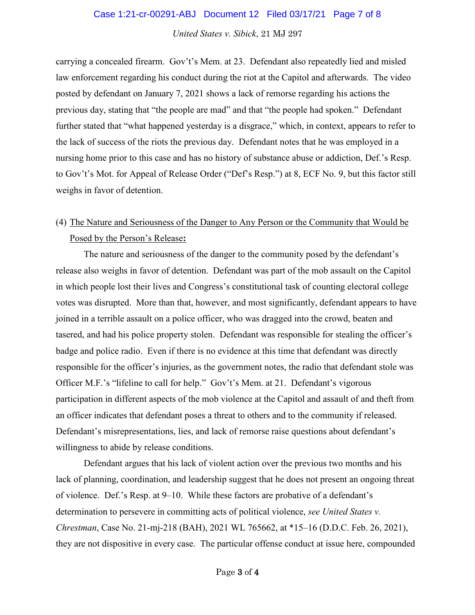#### Case 1:21-cr-00291-ABJ Document 12 Filed 03/17/21 Page 7 of 8

*United States v. Sibick*, 21 MJ 297

carrying a concealed firearm. Gov't's Mem. at 23. Defendant also repeatedly lied and misled law enforcement regarding his conduct during the riot at the Capitol and afterwards. The video posted by defendant on January 7, 2021 shows a lack of remorse regarding his actions the previous day, stating that "the people are mad" and that "the people had spoken." Defendant further stated that "what happened yesterday is a disgrace," which, in context, appears to refer to the lack of success of the riots the previous day. Defendant notes that he was employed in a nursing home prior to this case and has no history of substance abuse or addiction, Def.'s Resp. to Gov't's Mot. for Appeal of Release Order ("Def's Resp.") at 8, ECF No. 9, but this factor still weighs in favor of detention.

## (4) The Nature and Seriousness of the Danger to Any Person or the Community that Would be Posed by the Person's Release**:**

The nature and seriousness of the danger to the community posed by the defendant's release also weighs in favor of detention. Defendant was part of the mob assault on the Capitol in which people lost their lives and Congress's constitutional task of counting electoral college votes was disrupted. More than that, however, and most significantly, defendant appears to have joined in a terrible assault on a police officer, who was dragged into the crowd, beaten and tasered, and had his police property stolen. Defendant was responsible for stealing the officer's badge and police radio. Even if there is no evidence at this time that defendant was directly responsible for the officer's injuries, as the government notes, the radio that defendant stole was Officer M.F.'s "lifeline to call for help." Gov't's Mem. at 21. Defendant's vigorous participation in different aspects of the mob violence at the Capitol and assault of and theft from an officer indicates that defendant poses a threat to others and to the community if released. Defendant's misrepresentations, lies, and lack of remorse raise questions about defendant's willingness to abide by release conditions.

Defendant argues that his lack of violent action over the previous two months and his lack of planning, coordination, and leadership suggest that he does not present an ongoing threat of violence. Def.'s Resp. at 9–10. While these factors are probative of a defendant's determination to persevere in committing acts of political violence, *see United States v. Chrestman*, Case No. 21-mj-218 (BAH), 2021 WL 765662, at \*15–16 (D.D.C. Feb. 26, 2021), they are not dispositive in every case. The particular offense conduct at issue here, compounded